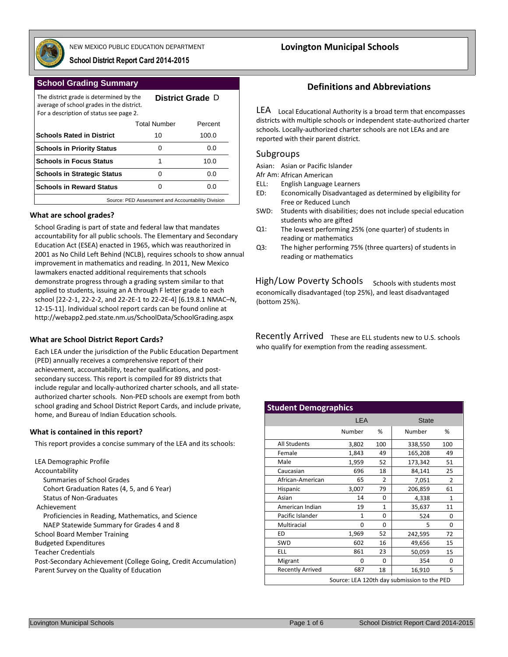

NEW MEXICO PUBLIC EDUCATION DEPARTMENT **Lovington Municipal Schools**

D **District Grade**

**School District Report Card 2014-2015**

## **School Grading Summary**

The district grade is determined by the average of school grades in the district.

| avenuel or serioor graacs in the aistrict.<br>For a description of status see page 2. |                     |         |  |  |  |  |  |  |
|---------------------------------------------------------------------------------------|---------------------|---------|--|--|--|--|--|--|
|                                                                                       | <b>Total Number</b> | Percent |  |  |  |  |  |  |
| <b>Schools Rated in District</b>                                                      | 10                  | 100.0   |  |  |  |  |  |  |
| <b>Schools in Priority Status</b>                                                     | Ω                   | 0.0     |  |  |  |  |  |  |
| <b>Schools in Focus Status</b>                                                        |                     | 10.0    |  |  |  |  |  |  |
| <b>Schools in Strategic Status</b>                                                    | Ω                   | 0.0     |  |  |  |  |  |  |
| <b>Schools in Reward Status</b>                                                       | 0.0                 |         |  |  |  |  |  |  |
| Source: PED Assessment and Accountability Division                                    |                     |         |  |  |  |  |  |  |

### **What are school grades?**

School Grading is part of state and federal law that mandates accountability for all public schools. The Elementary and Secondary Education Act (ESEA) enacted in 1965, which was reauthorized in 2001 as No Child Left Behind (NCLB), requires schools to show annual improvement in mathematics and reading. In 2011, New Mexico lawmakers enacted additional requirements that schools demonstrate progress through a grading system similar to that applied to students, issuing an A through F letter grade to each school [22-2-1, 22-2-2, and 22-2E-1 to 22-2E-4] [6.19.8.1 NMAC–N, 12-15-11]. Individual school report cards can be found online at http://webapp2.ped.state.nm.us/SchoolData/SchoolGrading.aspx

## **What are School District Report Cards?**

Each LEA under the jurisdiction of the Public Education Department (PED) annually receives a comprehensive report of their achievement, accountability, teacher qualifications, and postsecondary success. This report is compiled for 89 districts that include regular and locally-authorized charter schools, and all stateauthorized charter schools. Non-PED schools are exempt from both school grading and School District Report Cards, and include private, home, and Bureau of Indian Education schools.

#### **What is contained in this report?**

This report provides a concise summary of the LEA and its schools:

# **Definitions and Abbreviations**

LEA Local Educational Authority is a broad term that encompasses districts with multiple schools or independent state-authorized charter schools. Locally-authorized charter schools are not LEAs and are reported with their parent district.

## Subgroups

Asian: Asian or Pacific Islander

Afr Am: African American

- ELL: English Language Learners
- ED: Economically Disadvantaged as determined by eligibility for Free or Reduced Lunch
- SWD: Students with disabilities; does not include special education students who are gifted
- Q1: The lowest performing 25% (one quarter) of students in reading or mathematics
- Q3: The higher performing 75% (three quarters) of students in reading or mathematics

 Schools with students most economically disadvantaged (top 25%), and least disadvantaged (bottom 25%). High/Low Poverty Schools

Recently Arrived These are ELL students new to U.S. schools who qualify for exemption from the reading assessment.

| <b>Student Demographics</b> |            |              |                                             |               |  |
|-----------------------------|------------|--------------|---------------------------------------------|---------------|--|
|                             | <b>LEA</b> |              | <b>State</b>                                |               |  |
|                             | Number     | %            | Number                                      | %             |  |
| <b>All Students</b>         | 3,802      | 100          | 338,550                                     | 100           |  |
| Female                      | 1,843      | 49           | 165,208                                     | 49            |  |
| Male                        | 1,959      | 52           | 173,342                                     | 51            |  |
| Caucasian                   | 696        | 18           | 84,141                                      | 25            |  |
| African-American            | 65         | 2            | 7,051                                       | $\mathcal{P}$ |  |
| Hispanic                    | 3,007      | 79           | 206,859                                     | 61            |  |
| Asian                       | 14         | 0            | 4,338                                       | 1             |  |
| American Indian             | 19         | $\mathbf{1}$ | 35,637                                      | 11            |  |
| Pacific Islander            | 1          | $\Omega$     | 524                                         | $\Omega$      |  |
| Multiracial                 | O          | $\Omega$     | 5                                           | $\Omega$      |  |
| ED                          | 1,969      | 52           | 242,595                                     | 72            |  |
| <b>SWD</b>                  | 602        | 16           | 49,656                                      | 15            |  |
| <b>ELL</b>                  | 861        | 23           | 50,059                                      | 15            |  |
| Migrant                     | O          | $\Omega$     | 354                                         | $\Omega$      |  |
| <b>Recently Arrived</b>     | 687        | 18           | 16,910                                      | 5             |  |
|                             |            |              | Source: LEA 120th day submission to the PED |               |  |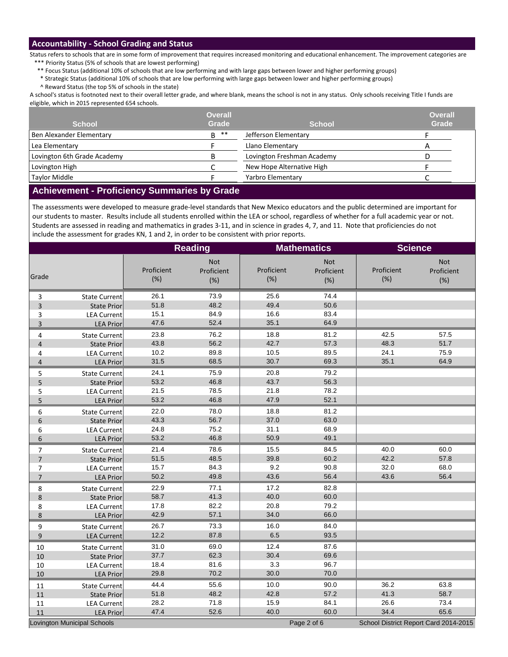## **Accountability - School Grading and Status**

Status refers to schools that are in some form of improvement that requires increased monitoring and educational enhancement. The improvement categories are \*\*\* Priority Status (5% of schools that are lowest performing)

\*\* Focus Status (additional 10% of schools that are low performing and with large gaps between lower and higher performing groups)

\* Strategic Status (additional 10% of schools that are low performing with large gaps between lower and higher performing groups)

^ Reward Status (the top 5% of schools in the state)

A school's status is footnoted next to their overall letter grade, and where blank, means the school is not in any status. Only schools receiving Title I funds are eligible, which in 2015 represented 654 schools.

| <b>School</b>               | <b>Overall</b><br><b>Grade</b> | <b>School</b>              | <b>Overall</b><br><b>Grade</b> |
|-----------------------------|--------------------------------|----------------------------|--------------------------------|
| Ben Alexander Elementary    | **<br>B.                       | Jefferson Elementary       |                                |
| Lea Elementary              |                                | Llano Elementary           |                                |
| Lovington 6th Grade Academy |                                | Lovington Freshman Academy |                                |
| Lovington High              |                                | New Hope Alternative High  |                                |
| <b>Taylor Middle</b>        |                                | Yarbro Elementary          |                                |

## **Achievement - Proficiency Summaries by Grade**

The assessments were developed to measure grade-level standards that New Mexico educators and the public determined are important for our students to master. Results include all students enrolled within the LEA or school, regardless of whether for a full academic year or not. Students are assessed in reading and mathematics in grades 3-11, and in science in grades 4, 7, and 11. Note that proficiencies do not include the assessment for grades KN, 1 and 2, in order to be consistent with prior reports.

|                         |                                    |                   | <b>Reading</b>                  |                   | <b>Mathematics</b>       | <b>Science</b>    |                                       |
|-------------------------|------------------------------------|-------------------|---------------------------------|-------------------|--------------------------|-------------------|---------------------------------------|
| Grade                   |                                    | Proficient<br>(%) | <b>Not</b><br>Proficient<br>(%) | Proficient<br>(%) | Not<br>Proficient<br>(%) | Proficient<br>(%) | <b>Not</b><br>Proficient<br>(%)       |
| 3                       | <b>State Current</b>               | 26.1              | 73.9                            | 25.6              | 74.4                     |                   |                                       |
| 3                       | <b>State Prior</b>                 | 51.8              | 48.2                            | 49.4              | 50.6                     |                   |                                       |
| 3                       | <b>LEA Current</b>                 | 15.1              | 84.9                            | 16.6              | 83.4                     |                   |                                       |
| $\overline{\mathbf{3}}$ | <b>LEA Prior</b>                   | 47.6              | 52.4                            | 35.1              | 64.9                     |                   |                                       |
| 4                       | <b>State Current</b>               | 23.8              | 76.2                            | 18.8              | 81.2                     | 42.5              | 57.5                                  |
| 4                       | <b>State Prior</b>                 | 43.8              | 56.2                            | 42.7              | 57.3                     | 48.3              | 51.7                                  |
| 4                       | <b>LEA Current</b>                 | 10.2              | 89.8                            | 10.5              | 89.5                     | 24.1              | 75.9                                  |
| 4                       | <b>LEA Prior</b>                   | 31.5              | 68.5                            | 30.7              | 69.3                     | 35.1              | 64.9                                  |
| 5                       | <b>State Current</b>               | 24.1              | 75.9                            | 20.8              | 79.2                     |                   |                                       |
| 5                       | <b>State Prior</b>                 | 53.2              | 46.8                            | 43.7              | 56.3                     |                   |                                       |
| 5                       | <b>LEA Current</b>                 | 21.5              | 78.5                            | 21.8              | 78.2                     |                   |                                       |
| 5                       | <b>LEA Prior</b>                   | 53.2              | 46.8                            | 47.9              | 52.1                     |                   |                                       |
| 6                       | <b>State Current</b>               | 22.0              | 78.0                            | 18.8              | 81.2                     |                   |                                       |
| 6                       | <b>State Prior</b>                 | 43.3              | 56.7                            | 37.0              | 63.0                     |                   |                                       |
| 6                       | <b>LEA Current</b>                 | 24.8              | 75.2                            | 31.1              | 68.9                     |                   |                                       |
| 6                       | <b>LEA Prior</b>                   | 53.2              | 46.8                            | 50.9              | 49.1                     |                   |                                       |
| 7                       | <b>State Current</b>               | 21.4              | 78.6                            | 15.5              | 84.5                     | 40.0              | 60.0                                  |
| $\overline{7}$          | <b>State Prior</b>                 | 51.5              | 48.5                            | 39.8              | 60.2                     | 42.2              | 57.8                                  |
| 7                       | <b>LEA Current</b>                 | 15.7              | 84.3                            | 9.2               | 90.8                     | 32.0              | 68.0                                  |
| $\overline{7}$          | <b>LEA Prior</b>                   | 50.2              | 49.8                            | 43.6              | 56.4                     | 43.6              | 56.4                                  |
| 8                       | <b>State Current</b>               | 22.9              | 77.1                            | 17.2              | 82.8                     |                   |                                       |
| 8                       | <b>State Prior</b>                 | 58.7              | 41.3                            | 40.0              | 60.0                     |                   |                                       |
| 8                       | <b>LEA Current</b>                 | 17.8              | 82.2                            | 20.8              | 79.2                     |                   |                                       |
| $\bf 8$                 | <b>LEA Prior</b>                   | 42.9              | 57.1                            | 34.0              | 66.0                     |                   |                                       |
| 9                       | <b>State Current</b>               | 26.7              | 73.3                            | 16.0              | 84.0                     |                   |                                       |
| $\boldsymbol{9}$        | <b>LEA Current</b>                 | 12.2              | 87.8                            | 6.5               | 93.5                     |                   |                                       |
| 10                      | <b>State Current</b>               | 31.0              | 69.0                            | 12.4              | 87.6                     |                   |                                       |
| 10                      | <b>State Prior</b>                 | 37.7              | 62.3                            | 30.4              | 69.6                     |                   |                                       |
| 10                      | <b>LEA Current</b>                 | 18.4              | 81.6                            | 3.3               | 96.7                     |                   |                                       |
| 10                      | <b>LEA Prior</b>                   | 29.8              | 70.2                            | 30.0              | 70.0                     |                   |                                       |
| 11                      | <b>State Current</b>               | 44.4              | 55.6                            | 10.0              | 90.0                     | 36.2              | 63.8                                  |
| 11                      | <b>State Prior</b>                 | 51.8              | 48.2                            | 42.8              | 57.2                     | 41.3              | 58.7                                  |
| 11                      | <b>LEA Current</b>                 | 28.2              | 71.8                            | 15.9              | 84.1                     | 26.6              | 73.4                                  |
| 11                      | <b>LEA Prior</b>                   | 47.4              | 52.6                            | 40.0              | 60.0                     | 34.4              | 65.6                                  |
|                         | <b>Lovington Municipal Schools</b> |                   |                                 |                   | Page 2 of 6              |                   | School District Report Card 2014-2015 |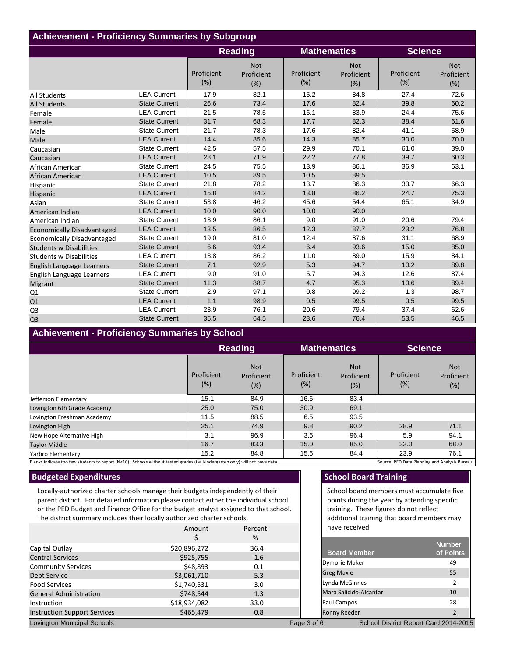| <b>Achievement - Proficiency Summaries by Subgroup</b> |                      |                   |                                 |                   |                                 |                   |                                 |  |
|--------------------------------------------------------|----------------------|-------------------|---------------------------------|-------------------|---------------------------------|-------------------|---------------------------------|--|
|                                                        |                      |                   | <b>Reading</b>                  |                   | <b>Mathematics</b>              |                   | <b>Science</b>                  |  |
|                                                        |                      | Proficient<br>(%) | <b>Not</b><br>Proficient<br>(%) | Proficient<br>(%) | <b>Not</b><br>Proficient<br>(%) | Proficient<br>(%) | <b>Not</b><br>Proficient<br>(%) |  |
| <b>All Students</b>                                    | <b>LEA Current</b>   | 17.9              | 82.1                            | 15.2              | 84.8                            | 27.4              | 72.6                            |  |
| <b>All Students</b>                                    | <b>State Current</b> | 26.6              | 73.4                            | 17.6              | 82.4                            | 39.8              | 60.2                            |  |
| Female                                                 | <b>LEA Current</b>   | 21.5              | 78.5                            | 16.1              | 83.9                            | 24.4              | 75.6                            |  |
| Female                                                 | <b>State Current</b> | 31.7              | 68.3                            | 17.7              | 82.3                            | 38.4              | 61.6                            |  |
| Male                                                   | <b>State Current</b> | 21.7              | 78.3                            | 17.6              | 82.4                            | 41.1              | 58.9                            |  |
| Male                                                   | <b>LEA Current</b>   | 14.4              | 85.6                            | 14.3              | 85.7                            | 30.0              | 70.0                            |  |
| Caucasian                                              | <b>State Current</b> | 42.5              | 57.5                            | 29.9              | 70.1                            | 61.0              | 39.0                            |  |
| Caucasian                                              | <b>LEA Current</b>   | 28.1              | 71.9                            | 22.2              | 77.8                            | 39.7              | 60.3                            |  |
| African American                                       | <b>State Current</b> | 24.5              | 75.5                            | 13.9              | 86.1                            | 36.9              | 63.1                            |  |
| African American                                       | <b>LEA Current</b>   | 10.5              | 89.5                            | 10.5              | 89.5                            |                   |                                 |  |
| Hispanic                                               | <b>State Current</b> | 21.8              | 78.2                            | 13.7              | 86.3                            | 33.7              | 66.3                            |  |
| Hispanic                                               | <b>LEA Current</b>   | 15.8              | 84.2                            | 13.8              | 86.2                            | 24.7              | 75.3                            |  |
| Asian                                                  | <b>State Current</b> | 53.8              | 46.2                            | 45.6              | 54.4                            | 65.1              | 34.9                            |  |
| American Indian                                        | <b>LEA Current</b>   | 10.0              | 90.0                            | 10.0              | 90.0                            |                   |                                 |  |
| American Indian                                        | <b>State Current</b> | 13.9              | 86.1                            | 9.0               | 91.0                            | 20.6              | 79.4                            |  |
| <b>Economically Disadvantaged</b>                      | <b>LEA Current</b>   | 13.5              | 86.5                            | 12.3              | 87.7                            | 23.2              | 76.8                            |  |
| Economically Disadvantaged                             | <b>State Current</b> | 19.0              | 81.0                            | 12.4              | 87.6                            | 31.1              | 68.9                            |  |
| <b>Students w Disabilities</b>                         | <b>State Current</b> | 6.6               | 93.4                            | 6.4               | 93.6                            | 15.0              | 85.0                            |  |
| Students w Disabilities                                | <b>LEA Current</b>   | 13.8              | 86.2                            | 11.0              | 89.0                            | 15.9              | 84.1                            |  |
| English Language Learners                              | <b>State Current</b> | 7.1               | 92.9                            | 5.3               | 94.7                            | 10.2              | 89.8                            |  |
| English Language Learners                              | <b>LEA Current</b>   | 9.0               | 91.0                            | 5.7               | 94.3                            | 12.6              | 87.4                            |  |
| <b>Migrant</b>                                         | <b>State Current</b> | 11.3              | 88.7                            | 4.7               | 95.3                            | 10.6              | 89.4                            |  |
| Q1                                                     | <b>State Current</b> | 2.9               | 97.1                            | 0.8               | 99.2                            | 1.3               | 98.7                            |  |
| Q1                                                     | <b>LEA Current</b>   | 1.1               | 98.9                            | 0.5               | 99.5                            | 0.5               | 99.5                            |  |
| Q <sub>3</sub>                                         | <b>LEA Current</b>   | 23.9              | 76.1                            | 20.6              | 79.4                            | 37.4              | 62.6                            |  |
| Q <sub>3</sub>                                         | <b>State Current</b> | 35.5              | 64.5                            | 23.6              | 76.4                            | 53.5              | 46.5                            |  |

# **Achievement - Proficiency Summaries by School**

|                             | <b>Reading</b>    |                                    | <b>Mathematics</b>   |                                 | <b>Science</b>    |                                    |
|-----------------------------|-------------------|------------------------------------|----------------------|---------------------------------|-------------------|------------------------------------|
|                             | Proficient<br>(%) | <b>Not</b><br>Proficient<br>$(\%)$ | Proficient<br>$(\%)$ | <b>Not</b><br>Proficient<br>(%) | Proficient<br>(%) | <b>Not</b><br>Proficient<br>$(\%)$ |
| Jefferson Elementary        | 15.1              | 84.9                               | 16.6                 | 83.4                            |                   |                                    |
| Lovington 6th Grade Academy | 25.0              | 75.0                               | 30.9                 | 69.1                            |                   |                                    |
| Lovington Freshman Academy  | 11.5              | 88.5                               | 6.5                  | 93.5                            |                   |                                    |
| Lovington High              | 25.1              | 74.9                               | 9.8                  | 90.2                            | 28.9              | 71.1                               |
| New Hope Alternative High   | 3.1               | 96.9                               | 3.6                  | 96.4                            | 5.9               | 94.1                               |
| <b>Taylor Middle</b>        | 16.7              | 83.3                               | 15.0                 | 85.0                            | 32.0              | 68.0                               |
| Yarbro Elementary           | 15.2              | 84.8                               | 15.6                 | 84.4                            | 23.9              | 76.1                               |

Blanks indicate too few students to report (N<10). Schools without tested grades (i.e. kindergarten only) will not have data. Source: PED Data Planning and Analysis Bureau

# **Budgeted Expenditures**

Locally-authorized charter schools manage their budgets independently of their parent district. For detailed information please contact either the individual school or the PED Budget and Finance Office for the budget analyst assigned to that school. The district summary includes their locally authorized charter schools.

|                                     | Amount       | Percent |    |
|-------------------------------------|--------------|---------|----|
|                                     | \$           | %       |    |
| Capital Outlay                      | \$20,896,272 | 36.4    |    |
| <b>Central Services</b>             | \$925,755    | 1.6     |    |
| Community Services                  | \$48,893     | 0.1     |    |
| <b>Debt Service</b>                 | \$3,061,710  | 5.3     |    |
| <b>Food Services</b>                | \$1,740,531  | 3.0     |    |
| <b>General Administration</b>       | \$748,544    | 1.3     |    |
| Instruction                         | \$18,934,082 | 33.0    |    |
| <b>Instruction Support Services</b> | \$465,479    | 0.8     |    |
| Lovington Municipal Schools         |              |         | Pa |

# **School Board Training**

School board members must accumulate five points during the year by attending specific training. These figures do not reflect additional training that board members may have received.

| <b>Board Member</b>    |                                       | <b>Number</b><br>of Points |
|------------------------|---------------------------------------|----------------------------|
| <b>Dymorie Maker</b>   |                                       | 49                         |
| <b>Greg Maxie</b>      |                                       | 55                         |
| Lynda McGinnes         |                                       | $\mathcal{P}$              |
| Mara Salicido-Alcantar |                                       | 10                         |
| Paul Campos            |                                       | 28                         |
| <b>Ronny Reeder</b>    |                                       | $\overline{2}$             |
| de 3 of 6              | School District Report Card 2014-2015 |                            |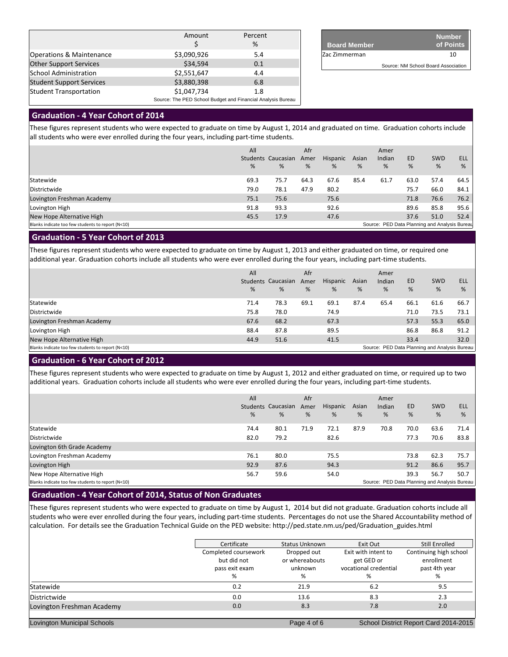|                                 | Amount                                                      | Percent<br>% |  |  |  |
|---------------------------------|-------------------------------------------------------------|--------------|--|--|--|
| Operations & Maintenance        | \$3,090,926                                                 | 5.4          |  |  |  |
| <b>Other Support Services</b>   | \$34,594                                                    | 0.1          |  |  |  |
| <b>School Administration</b>    | \$2,551,647                                                 | 4.4          |  |  |  |
| <b>Student Support Services</b> | \$3,880,398                                                 | 6.8          |  |  |  |
| <b>Student Transportation</b>   | \$1,047,734                                                 | 1.8          |  |  |  |
|                                 | Source: The PED School Budget and Financial Analysis Bureau |              |  |  |  |

| <b>Board Member</b> | <b>Number</b><br>of Points          |
|---------------------|-------------------------------------|
| Zac Zimmerman       | 10                                  |
|                     | Source: NM School Board Association |

# **Graduation - 4 Year Cohort of 2014**

These figures represent students who were expected to graduate on time by August 1, 2014 and graduated on time. Graduation cohorts include all students who were ever enrolled during the four years, including part-time students.

|                                                   | All  |                    | Afr  |          |       | Amer                                          |           |            |      |
|---------------------------------------------------|------|--------------------|------|----------|-------|-----------------------------------------------|-----------|------------|------|
|                                                   |      | Students Caucasian | Amer | Hispanic | Asian | Indian                                        | <b>ED</b> | <b>SWD</b> | ELL  |
|                                                   | %    | %                  | %    | %        | %     | %                                             | %         | %          | %    |
| Statewide                                         | 69.3 | 75.7               | 64.3 | 67.6     | 85.4  | 61.7                                          | 63.0      | 57.4       | 64.5 |
| Districtwide                                      | 79.0 | 78.1               | 47.9 | 80.2     |       |                                               | 75.7      | 66.0       | 84.1 |
| Lovington Freshman Academy                        | 75.1 | 75.6               |      | 75.6     |       |                                               | 71.8      | 76.6       | 76.2 |
| Lovington High                                    | 91.8 | 93.3               |      | 92.6     |       |                                               | 89.6      | 85.8       | 95.6 |
| New Hope Alternative High                         | 45.5 | 17.9               |      | 47.6     |       |                                               | 37.6      | 51.0       | 52.4 |
| Blanks indicate too few students to report (N<10) |      |                    |      |          |       | Source: PED Data Planning and Analysis Bureau |           |            |      |
|                                                   |      |                    |      |          |       |                                               |           |            |      |

## **Graduation - 5 Year Cohort of 2013**

These figures represent students who were expected to graduate on time by August 1, 2013 and either graduated on time, or required one additional year. Graduation cohorts include all students who were ever enrolled during the four years, including part-time students.

|                                                   | All<br>% | Students Caucasian<br>% | Afr<br>Amer<br>% | Hispanic<br>% | Asian<br>% | Amer<br>Indian<br>%                           | <b>ED</b><br>% | <b>SWD</b><br>% | <b>ELL</b><br>% |
|---------------------------------------------------|----------|-------------------------|------------------|---------------|------------|-----------------------------------------------|----------------|-----------------|-----------------|
| Statewide                                         | 71.4     | 78.3                    | 69.1             | 69.1          | 87.4       | 65.4                                          | 66.1           | 61.6            | 66.7            |
| Districtwide                                      | 75.8     | 78.0                    |                  | 74.9          |            |                                               | 71.0           | 73.5            | 73.1            |
| Lovington Freshman Academy                        | 67.6     | 68.2                    |                  | 67.3          |            |                                               | 57.3           | 55.3            | 65.0            |
| Lovington High                                    | 88.4     | 87.8                    |                  | 89.5          |            |                                               | 86.8           | 86.8            | 91.2            |
| New Hope Alternative High                         | 44.9     | 51.6                    |                  | 41.5          |            |                                               | 33.4           |                 | 32.0            |
| Blanks indicate too few students to report (N<10) |          |                         |                  |               |            | Source: PED Data Planning and Analysis Bureau |                |                 |                 |

# **Graduation - 6 Year Cohort of 2012**

These figures represent students who were expected to graduate on time by August 1, 2012 and either graduated on time, or required up to two additional years. Graduation cohorts include all students who were ever enrolled during the four years, including part-time students.

|                                                   | All<br>% | Students Caucasian<br>% | Afr<br>Amer<br>% | Hispanic<br>% | Asian<br>% | Amer<br>Indian<br>%                           | <b>ED</b><br>% | <b>SWD</b><br>% | <b>ELL</b><br>% |
|---------------------------------------------------|----------|-------------------------|------------------|---------------|------------|-----------------------------------------------|----------------|-----------------|-----------------|
| Statewide                                         | 74.4     | 80.1                    | 71.9             | 72.1          | 87.9       | 70.8                                          | 70.0           | 63.6            | 71.4            |
| Districtwide                                      | 82.0     | 79.2                    |                  | 82.6          |            |                                               | 77.3           | 70.6            | 83.8            |
| Lovington 6th Grade Academy                       |          |                         |                  |               |            |                                               |                |                 |                 |
| Lovington Freshman Academy                        | 76.1     | 80.0                    |                  | 75.5          |            |                                               | 73.8           | 62.3            | 75.7            |
| Lovington High                                    | 92.9     | 87.6                    |                  | 94.3          |            |                                               | 91.2           | 86.6            | 95.7            |
| New Hope Alternative High                         | 56.7     | 59.6                    |                  | 54.0          |            |                                               | 39.3           | 56.7            | 50.7            |
| Blanks indicate too few students to report (N<10) |          |                         |                  |               |            | Source: PED Data Planning and Analysis Bureau |                |                 |                 |

## **Graduation - 4 Year Cohort of 2014, Status of Non Graduates**

These figures represent students who were expected to graduate on time by August 1, 2014 but did not graduate. Graduation cohorts include all students who were ever enrolled during the four years, including part-time students. Percentages do not use the Shared Accountability method of calculation. For details see the Graduation Technical Guide on the PED website: http://ped.state.nm.us/ped/Graduation\_guides.html

|                                    | Certificate          | Status Unknown | Exit Out              | Still Enrolled                        |
|------------------------------------|----------------------|----------------|-----------------------|---------------------------------------|
|                                    | Completed coursework | Dropped out    | Exit with intent to   | Continuing high school                |
|                                    | but did not          | or whereabouts | get GED or            | enrollment                            |
|                                    | pass exit exam       | unknown        | vocational credential | past 4th year                         |
|                                    | %                    | %              | ℅                     | %                                     |
| Statewide                          | 0.2                  | 21.9           | 6.2                   | 9.5                                   |
| Districtwide                       | 0.0                  | 13.6           | 8.3                   | 2.3                                   |
| Lovington Freshman Academy         | 0.0                  | 8.3            | 7.8                   | 2.0                                   |
|                                    |                      |                |                       |                                       |
| <b>Lovington Municipal Schools</b> |                      | Page 4 of 6    |                       | School District Report Card 2014-2015 |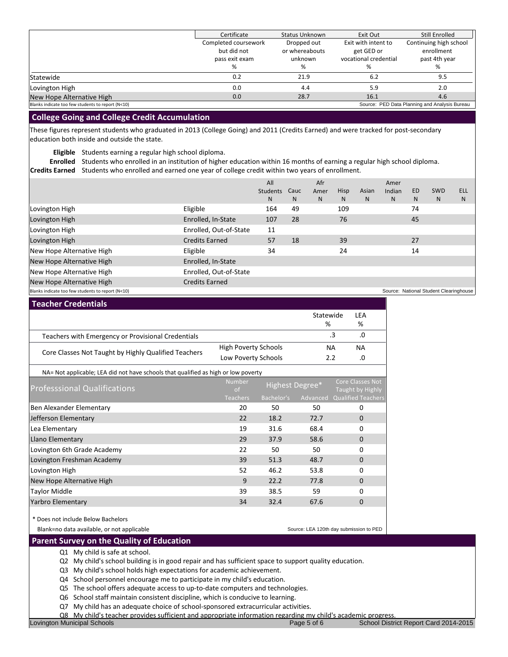|                                                   | Certificate          | <b>Status Unknown</b> | Exit Out              | Still Enrolled                                |
|---------------------------------------------------|----------------------|-----------------------|-----------------------|-----------------------------------------------|
|                                                   | Completed coursework | Dropped out           | Exit with intent to   | Continuing high school                        |
|                                                   | but did not          | or whereabouts        | get GED or            | enrollment                                    |
|                                                   | pass exit exam       | unknown               | vocational credential | past 4th year                                 |
|                                                   | %                    | %                     | ℅                     | %                                             |
| Statewide                                         | 0.2                  | 21.9                  | 6.2                   | 9.5                                           |
| Lovington High                                    | 0.0                  | 4.4                   | 5.9                   | 2.0                                           |
| New Hope Alternative High                         | 0.0                  | 28.7                  | 16.1                  | 4.6                                           |
| Blanks indicate too few students to report (N<10) |                      |                       |                       | Source: PED Data Planning and Analysis Bureau |

## **College Going and College Credit Accumulation**

These figures represent students who graduated in 2013 (College Going) and 2011 (Credits Earned) and were tracked for post-secondary education both inside and outside the state.

**Eligible** Students earning a regular high school diploma.

**Enrolled** Students who enrolled in an institution of higher education within 16 months of earning a regular high school diploma.

**Credits Earned** Students who enrolled and earned one year of college credit within two years of enrollment.

|                                                   |                        | All      |      | Afr  |             |       | Amer   |     |                                        |            |
|---------------------------------------------------|------------------------|----------|------|------|-------------|-------|--------|-----|----------------------------------------|------------|
|                                                   |                        | Students | Cauc | Amer | <b>Hisp</b> | Asian | Indian | ED. | <b>SWD</b>                             | <b>ELL</b> |
|                                                   |                        | N        | N.   | N    | N           | N.    | N.     | N   | N.                                     | N          |
| Lovington High                                    | Eligible               | 164      | 49   |      | 109         |       |        | 74  |                                        |            |
| Lovington High                                    | Enrolled, In-State     | 107      | 28   |      | 76          |       |        | 45  |                                        |            |
| Lovington High                                    | Enrolled, Out-of-State | 11       |      |      |             |       |        |     |                                        |            |
| Lovington High                                    | <b>Credits Earned</b>  | 57       | 18   |      | 39          |       |        | 27  |                                        |            |
| New Hope Alternative High                         | Eligible               | 34       |      |      | 24          |       |        | 14  |                                        |            |
| New Hope Alternative High                         | Enrolled, In-State     |          |      |      |             |       |        |     |                                        |            |
| New Hope Alternative High                         | Enrolled, Out-of-State |          |      |      |             |       |        |     |                                        |            |
| New Hope Alternative High                         | <b>Credits Earned</b>  |          |      |      |             |       |        |     |                                        |            |
| Blanks indicate too few students to report (N<10) |                        |          |      |      |             |       |        |     | Source: National Student Clearinghouse |            |

| <b>Teacher Credentials</b>                           |                             |           |     |  |
|------------------------------------------------------|-----------------------------|-----------|-----|--|
|                                                      |                             | Statewide | LEA |  |
|                                                      |                             | %         | %   |  |
| Teachers with Emergency or Provisional Credentials   |                             |           | .0  |  |
|                                                      | <b>High Poverty Schools</b> | ΝA        | NА  |  |
| Core Classes Not Taught by Highly Qualified Teachers | Low Poverty Schools         | 2.2       | .0  |  |

| NA= Not applicable; LEA did not have schools that qualified as high or low poverty |                                |                 |          |                                             |  |  |  |  |  |  |
|------------------------------------------------------------------------------------|--------------------------------|-----------------|----------|---------------------------------------------|--|--|--|--|--|--|
| <b>Professsional Qualifications</b>                                                | <b>Number</b><br><sub>of</sub> | Highest Degree* |          | <b>Core Classes Not</b><br>Taught by Highly |  |  |  |  |  |  |
|                                                                                    | Teachers                       | Bachelor's      | Advanced | <b>Qualified Teachers</b>                   |  |  |  |  |  |  |
| Ben Alexander Elementary                                                           | 20                             | 50              | 50       | 0                                           |  |  |  |  |  |  |
| Jefferson Elementary                                                               | 22                             | 18.2            | 72.7     | $\Omega$                                    |  |  |  |  |  |  |
| Lea Elementary                                                                     | 19                             | 31.6            | 68.4     | 0                                           |  |  |  |  |  |  |
| Llano Elementary                                                                   | 29                             | 37.9            | 58.6     | $\Omega$                                    |  |  |  |  |  |  |
| Lovington 6th Grade Academy                                                        | 22                             | 50              | 50       | $\Omega$                                    |  |  |  |  |  |  |
| Lovington Freshman Academy                                                         | 39                             | 51.3            | 48.7     | $\Omega$                                    |  |  |  |  |  |  |
| Lovington High                                                                     | 52                             | 46.2            | 53.8     | $\Omega$                                    |  |  |  |  |  |  |
| New Hope Alternative High                                                          | 9                              | 22.2            | 77.8     | $\Omega$                                    |  |  |  |  |  |  |
| <b>Taylor Middle</b>                                                               | 39                             | 38.5            | 59       | $\Omega$                                    |  |  |  |  |  |  |
| Yarbro Elementary                                                                  | 34                             | 32.4            | 67.6     | $\Omega$                                    |  |  |  |  |  |  |
|                                                                                    |                                |                 |          |                                             |  |  |  |  |  |  |

\* Does not include Below Bachelors

Blank=no data available, or not applicable

Source: LEA 120th day submission to PED

 **Parent Survey on the Quality of Education**

Q1 My child is safe at school.

Q2 My child's school building is in good repair and has sufficient space to support quality education.

Q3 My child's school holds high expectations for academic achievement.

Q4 School personnel encourage me to participate in my child's education.

Q5 The school offers adequate access to up-to-date computers and technologies.

Q6 School staff maintain consistent discipline, which is conducive to learning.

Q7 My child has an adequate choice of school-sponsored extracurricular activities.

Q8 My child's teacher provides sufficient and appropriate information regarding my child's academic progress.<br>Page 5 of 6 School Distr

Lovington Municipal Schools